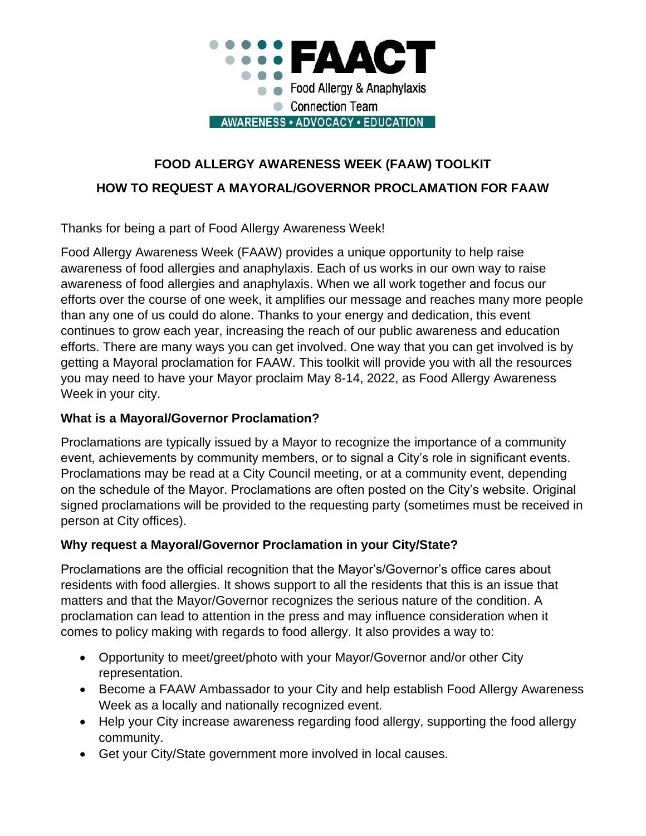

# **FOOD ALLERGY AWARENESS WEEK (FAAW) TOOLKIT HOW TO REQUEST A MAYORAL/GOVERNOR PROCLAMATION FOR FAAW**

Thanks for being a part of Food Allergy Awareness Week!

Food Allergy Awareness Week (FAAW) provides a unique opportunity to help raise awareness of food allergies and anaphylaxis. Each of us works in our own way to raise awareness of food allergies and anaphylaxis. When we all work together and focus our efforts over the course of one week, it amplifies our message and reaches many more people than any one of us could do alone. Thanks to your energy and dedication, this event continues to grow each year, increasing the reach of our public awareness and education efforts. There are many ways you can get involved. One way that you can get involved is by getting a Mayoral proclamation for FAAW. This toolkit will provide you with all the resources you may need to have your Mayor proclaim May 8-14, 2022, as Food Allergy Awareness Week in your city.

## **What is a Mayoral/Governor Proclamation?**

Proclamations are typically issued by a Mayor to recognize the importance of a community event, achievements by community members, or to signal a City's role in significant events. Proclamations may be read at a City Council meeting, or at a community event, depending on the schedule of the Mayor. Proclamations are often posted on the City's website. Original signed proclamations will be provided to the requesting party (sometimes must be received in person at City offices).

### **Why request a Mayoral/Governor Proclamation in your City/State?**

Proclamations are the official recognition that the Mayor's/Governor's office cares about residents with food allergies. It shows support to all the residents that this is an issue that matters and that the Mayor/Governor recognizes the serious nature of the condition. A proclamation can lead to attention in the press and may influence consideration when it comes to policy making with regards to food allergy. It also provides a way to:

- Opportunity to meet/greet/photo with your Mayor/Governor and/or other City representation.
- Become a FAAW Ambassador to your City and help establish Food Allergy Awareness Week as a locally and nationally recognized event.
- Help your City increase awareness regarding food allergy, supporting the food allergy community.
- Get your City/State government more involved in local causes.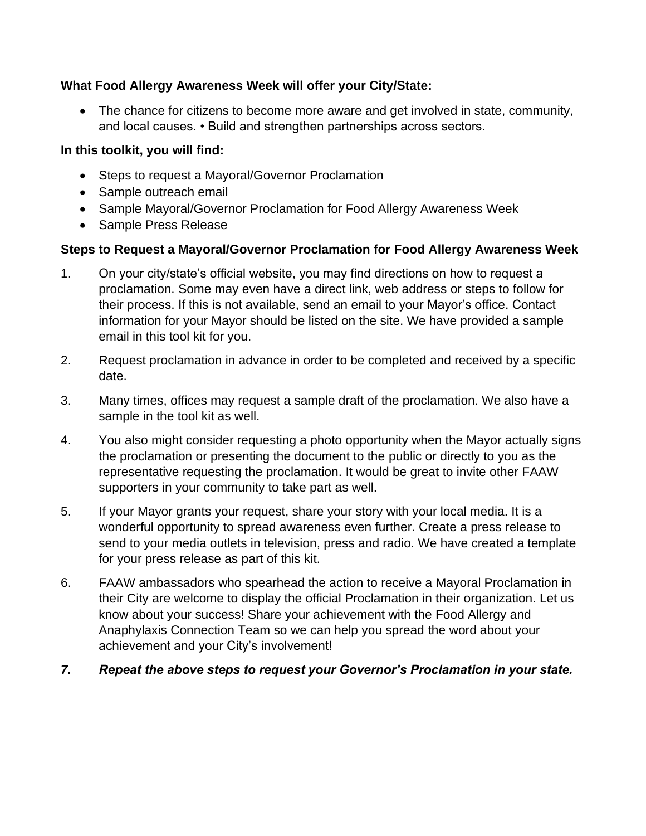## **What Food Allergy Awareness Week will offer your City/State:**

• The chance for citizens to become more aware and get involved in state, community, and local causes. • Build and strengthen partnerships across sectors.

## **In this toolkit, you will find:**

- Steps to request a Mayoral/Governor Proclamation
- Sample outreach email
- Sample Mayoral/Governor Proclamation for Food Allergy Awareness Week
- Sample Press Release

## **Steps to Request a Mayoral/Governor Proclamation for Food Allergy Awareness Week**

- 1. On your city/state's official website, you may find directions on how to request a proclamation. Some may even have a direct link, web address or steps to follow for their process. If this is not available, send an email to your Mayor's office. Contact information for your Mayor should be listed on the site. We have provided a sample email in this tool kit for you.
- 2. Request proclamation in advance in order to be completed and received by a specific date.
- 3. Many times, offices may request a sample draft of the proclamation. We also have a sample in the tool kit as well.
- 4. You also might consider requesting a photo opportunity when the Mayor actually signs the proclamation or presenting the document to the public or directly to you as the representative requesting the proclamation. It would be great to invite other FAAW supporters in your community to take part as well.
- 5. If your Mayor grants your request, share your story with your local media. It is a wonderful opportunity to spread awareness even further. Create a press release to send to your media outlets in television, press and radio. We have created a template for your press release as part of this kit.
- 6. FAAW ambassadors who spearhead the action to receive a Mayoral Proclamation in their City are welcome to display the official Proclamation in their organization. Let us know about your success! Share your achievement with the Food Allergy and Anaphylaxis Connection Team so we can help you spread the word about your achievement and your City's involvement!
- *7. Repeat the above steps to request your Governor's Proclamation in your state.*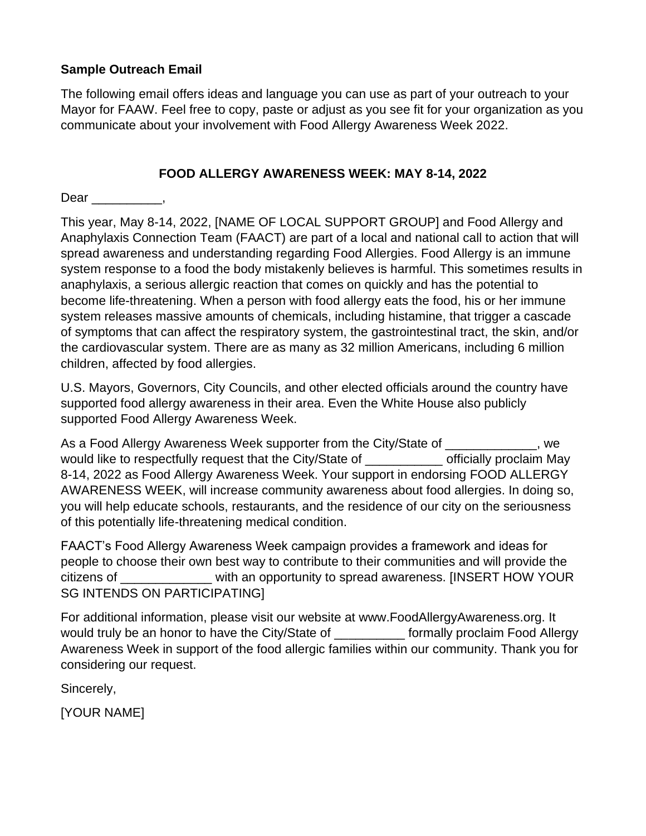## **Sample Outreach Email**

The following email offers ideas and language you can use as part of your outreach to your Mayor for FAAW. Feel free to copy, paste or adjust as you see fit for your organization as you communicate about your involvement with Food Allergy Awareness Week 2022.

## **FOOD ALLERGY AWARENESS WEEK: MAY 8-14, 2022**

Dear \_\_\_\_\_\_\_\_\_\_,

This year, May 8-14, 2022, [NAME OF LOCAL SUPPORT GROUP] and Food Allergy and Anaphylaxis Connection Team (FAACT) are part of a local and national call to action that will spread awareness and understanding regarding Food Allergies. Food Allergy is an immune system response to a food the body mistakenly believes is harmful. This sometimes results in anaphylaxis, a serious allergic reaction that comes on quickly and has the potential to become life-threatening. When a person with food allergy eats the food, his or her immune system releases massive amounts of chemicals, including histamine, that trigger a cascade of symptoms that can affect the respiratory system, the gastrointestinal tract, the skin, and/or the cardiovascular system. There are as many as 32 million Americans, including 6 million children, affected by food allergies.

U.S. Mayors, Governors, City Councils, and other elected officials around the country have supported food allergy awareness in their area. Even the White House also publicly supported Food Allergy Awareness Week.

As a Food Allergy Awareness Week supporter from the City/State of  $\qquad \qquad$ , we would like to respectfully request that the City/State of The Mathem officially proclaim May 8-14, 2022 as Food Allergy Awareness Week. Your support in endorsing FOOD ALLERGY AWARENESS WEEK, will increase community awareness about food allergies. In doing so, you will help educate schools, restaurants, and the residence of our city on the seriousness of this potentially life-threatening medical condition.

FAACT's Food Allergy Awareness Week campaign provides a framework and ideas for people to choose their own best way to contribute to their communities and will provide the citizens of \_\_\_\_\_\_\_\_\_\_\_\_\_ with an opportunity to spread awareness. [INSERT HOW YOUR SG INTENDS ON PARTICIPATING]

For additional information, please visit our website at www.FoodAllergyAwareness.org. It would truly be an honor to have the City/State of The More formally proclaim Food Allergy Awareness Week in support of the food allergic families within our community. Thank you for considering our request.

Sincerely,

[YOUR NAME]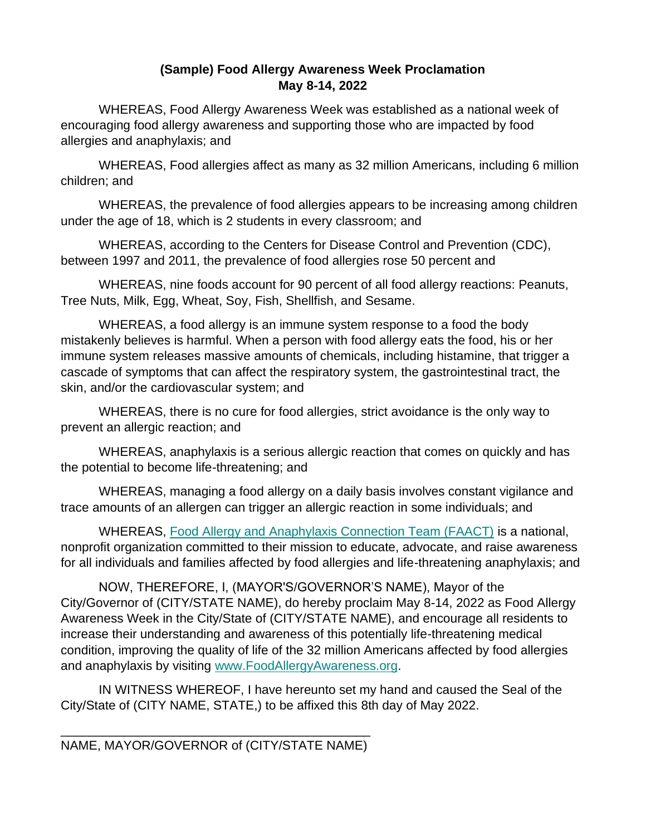#### **(Sample) Food Allergy Awareness Week Proclamation May 8-14, 2022**

WHEREAS, Food Allergy Awareness Week was established as a national week of encouraging food allergy awareness and supporting those who are impacted by food allergies and anaphylaxis; and

WHEREAS, Food allergies affect as many as 32 million Americans, including 6 million children; and

WHEREAS, the prevalence of food allergies appears to be increasing among children under the age of 18, which is 2 students in every classroom; and

WHEREAS, according to the Centers for Disease Control and Prevention (CDC), between 1997 and 2011, the prevalence of food allergies rose 50 percent and

WHEREAS, nine foods account for 90 percent of all food allergy reactions: Peanuts, Tree Nuts, Milk, Egg, Wheat, Soy, Fish, Shellfish, and Sesame.

WHEREAS, a food allergy is an immune system response to a food the body mistakenly believes is harmful. When a person with food allergy eats the food, his or her immune system releases massive amounts of chemicals, including histamine, that trigger a cascade of symptoms that can affect the respiratory system, the gastrointestinal tract, the skin, and/or the cardiovascular system; and

WHEREAS, there is no cure for food allergies, strict avoidance is the only way to prevent an allergic reaction; and

WHEREAS, anaphylaxis is a serious allergic reaction that comes on quickly and has the potential to become life-threatening; and

WHEREAS, managing a food allergy on a daily basis involves constant vigilance and trace amounts of an allergen can trigger an allergic reaction in some individuals; and

WHEREAS, [Food Allergy and Anaphylaxis Connection Team \(FAACT\)](https://www.foodallergyawareness.org/) is a national, nonprofit organization committed to their mission to educate, advocate, and raise awareness for all individuals and families affected by food allergies and life-threatening anaphylaxis; and

NOW, THEREFORE, I, (MAYOR'S/GOVERNOR'S NAME), Mayor of the City/Governor of (CITY/STATE NAME), do hereby proclaim May 8-14, 2022 as Food Allergy Awareness Week in the City/State of (CITY/STATE NAME), and encourage all residents to increase their understanding and awareness of this potentially life-threatening medical condition, improving the quality of life of the 32 million Americans affected by food allergies and anaphylaxis by visiting [www.FoodAllergyAwareness.org.](https://www.foodallergyawareness.org/education/food-allergy-awareness-initiatives/)

IN WITNESS WHEREOF, I have hereunto set my hand and caused the Seal of the City/State of (CITY NAME, STATE,) to be affixed this 8th day of May 2022.

\_\_\_\_\_\_\_\_\_\_\_\_\_\_\_\_\_\_\_\_\_\_\_\_\_\_\_\_\_\_\_\_\_\_\_\_\_\_\_\_\_\_\_\_ NAME, MAYOR/GOVERNOR of (CITY/STATE NAME)